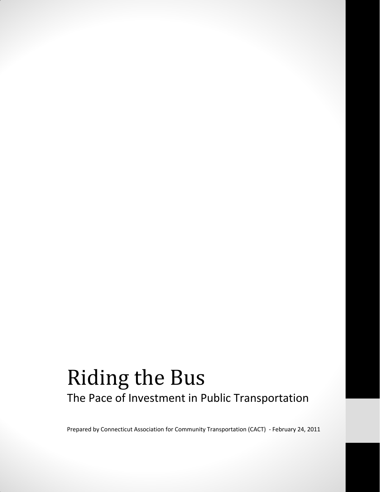# Riding the Bus The Pace of Investment in Public Transportation

Prepared by Connecticut Association for Community Transportation (CACT) - February 24, 2011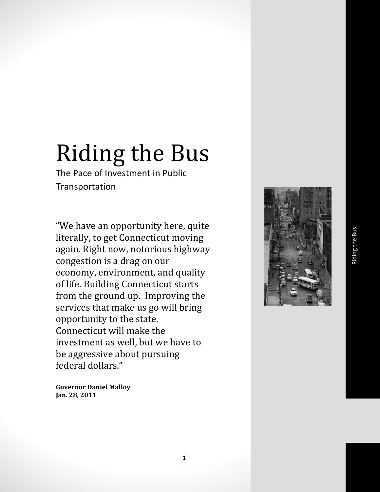# Riding the Bus

The Pace of Investment in Public Transportation

"We have an opportunity here, quite literally, to get Connecticut moving again. Right now, notorious highway congestion is a drag on our economy, environment, and quality of life. Building Connecticut starts from the ground up. Improving the services that make us go will bring opportunity to the state. Connecticut will make the investment as well, but we have to be aggressive about pursuing federal dollars."

**Governor Daniel Malloy Jan. 28, 2011**

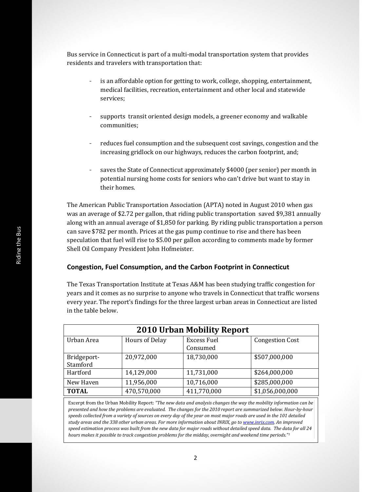Bus service in Connecticut is part of a multi-modal transportation system that provides residents and travelers with transportation that:

- is an affordable option for getting to work, college, shopping, entertainment, medical facilities, recreation, entertainment and other local and statewide services;
- supports transit oriented design models, a greener economy and walkable communities;
- reduces fuel consumption and the subsequent cost savings, congestion and the increasing gridlock on our highways, reduces the carbon footprint, and;
- saves the State of Connecticut approximately \$4000 (per senior) per month in potential nursing home costs for seniors who can't drive but want to stay in their homes.

The American Public Transportation Association (APTA) noted in August 2010 when gas was an average of \$2.72 per gallon, that riding public transportation saved \$9,381 annually along with an annual average of \$1,850 for parking. By riding public transportation a person can save \$782 per month. Prices at the gas pump continue to rise and there has been speculation that fuel will rise to \$5.00 per gallon according to comments made by former Shell Oil Company President John Hofmeister.

#### **Congestion, Fuel Consumption, and the Carbon Footprint in Connecticut**

The Texas Transportation Institute at Texas A&M has been studying traffic congestion for years and it comes as no surprise to anyone who travels in Connecticut that traffic worsens every year. The report's findings for the three largest urban areas in Connecticut are listed in the table below.

| <b>2010 Urban Mobility Report</b> |                       |                                |                        |
|-----------------------------------|-----------------------|--------------------------------|------------------------|
| Urban Area                        | <b>Hours of Delay</b> | <b>Excess Fuel</b><br>Consumed | <b>Congestion Cost</b> |
| Bridgeport-<br>Stamford           | 20,972,000            | 18,730,000                     | \$507,000,000          |
| Hartford                          | 14,129,000            | 11,731,000                     | \$264,000,000          |
| New Haven                         | 11,956,000            | 10,716,000                     | \$285,000,000          |
| <b>TOTAL</b>                      | 470,570,000           | 411,770,000                    | \$1,056,000,000        |

Excerpt from the Urban Mobility Report: *"The new data and analysis changes the way the mobility information can be presented and how the problems are evaluated. The changes for the 2010 report are summarized below. Hour-by-hour speeds collected from a variety of sources on every day of the year on most major roads are used in the 101 detailed study areas and the 338 other urban areas. For more information about INRIX, go t[o www.inrix.com.](http://www.inrix.com/) An improved speed estimation process was built from the new data for major roads without detailed speed data. The data for all 24 hours makes it possible to track congestion problems for the midday, overnight and weekend time periods."1*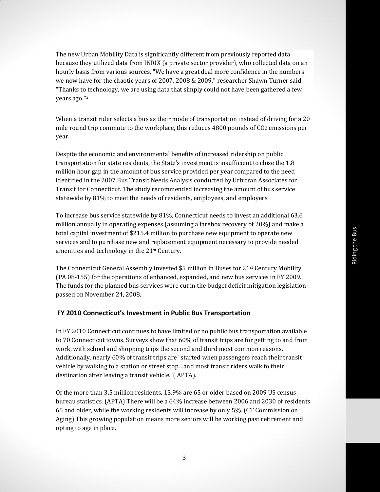The new Urban Mobility Data is significantly different from previously reported data because they utilized data from INRIX (a private sector provider), who collected data on an hourly basis from various sources. "We have a great deal more confidence in the numbers we now have for the chaotic years of 2007, 2008 & 2009," researcher Shawn Turner said. "Thanks to technology, we are using data that simply could not have been gathered a few years ago."<sup>2</sup>

When a transit rider selects a bus as their mode of transportation instead of driving for a 20 mile round trip commute to the workplace, this reduces 4800 pounds of CO2 emissions per year.

Despite the economic and environmental benefits of increased ridership on public transportation for state residents, the State's investment is insufficient to close the 1.8 million hour gap in the amount of bus service provided per year compared to the need identified in the 2007 Bus Transit Needs Analysis conducted by Urbitran Associates for Transit for Connecticut. The study recommended increasing the amount of bus service statewide by 81% to meet the needs of residents, employees, and employers.

To increase bus service statewide by 81%, Connecticut needs to invest an additional 63.6 million annually in operating expenses (assuming a farebox recovery of 20%) and make a total capital investment of \$215.4 million to purchase new equipment to operate new services and to purchase new and replacement equipment necessary to provide needed amenities and technology in the 21st Century.

The Connecticut General Assembly invested \$5 million in Buses for 21st Century Mobility (PA 08-155) for the operations of enhanced, expanded, and new bus services in FY 2009. The funds for the planned bus services were cut in the budget deficit mitigation legislation passed on November 24, 2008.

#### **FY 2010 Connecticut's Investment in Public Bus Transportation**

In FY 2010 Connecticut continues to have limited or no public bus transportation available to 70 Connecticut towns. Surveys show that 60% of transit trips are for getting to and from work, with school and shopping trips the second and third most common reasons. Additionally, nearly 60% of transit trips are "started when passengers reach their transit vehicle by walking to a station or street stop…and most transit riders walk to their destination after leaving a transit vehicle."( APTA).

Of the more than 3.5 million residents, 13.9% are 65 or older based on 2009 US census bureau statistics. (APTA) There will be a 64% increase between 2006 and 2030 of residents 65 and older, while the working residents will increase by only 5%. (CT Commission on Aging) This growing population means more seniors will be working past retirement and opting to age in place.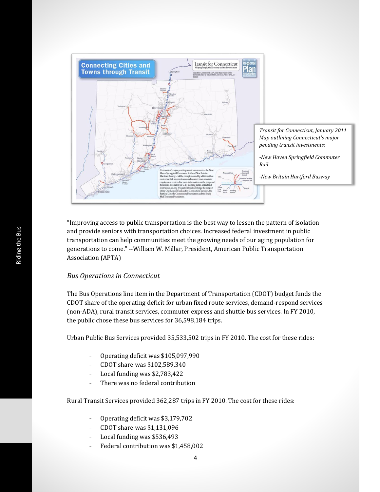

"Improving access to public transportation is the best way to lessen the pattern of isolation and provide seniors with transportation choices. Increased federal investment in public transportation can help communities meet the growing needs of our aging population for generations to come." --William W. Millar, President, American Public Transportation Association (APTA)

#### *Bus Operations in Connecticut*

The Bus Operations line item in the Department of Transportation (CDOT) budget funds the CDOT share of the operating deficit for urban fixed route services, demand-respond services (non-ADA), rural transit services, commuter express and shuttle bus services. In FY 2010, the public chose these bus services for 36,598,184 trips.

Urban Public Bus Services provided 35,533,502 trips in FY 2010. The cost for these rides:

- Operating deficit was \$105,097,990
- CDOT share was \$102,589,340
- Local funding was \$2,783,422
- There was no federal contribution

Rural Transit Services provided 362,287 trips in FY 2010. The cost for these rides:

- Operating deficit was \$3,179,702
- CDOT share was \$1,131,096
- Local funding was \$536,493
- Federal contribution was \$1,458,002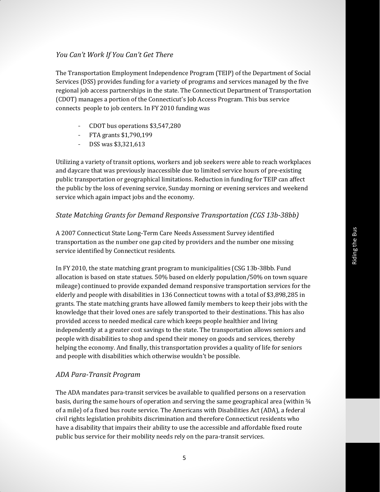#### *You Can't Work If You Can't Get There*

The Transportation Employment Independence Program (TEIP) of the Department of Social Services (DSS) provides funding for a variety of programs and services managed by the five regional job access partnerships in the state. The Connecticut Department of Transportation (CDOT) manages a portion of the Connecticut's Job Access Program. This bus service connects people to job centers. In FY 2010 funding was

- CDOT bus operations \$3,547,280
- FTA grants \$1,790,199
- DSS was \$3,321,613

Utilizing a variety of transit options, workers and job seekers were able to reach workplaces and daycare that was previously inaccessible due to limited service hours of pre-existing public transportation or geographical limitations. Reduction in funding for TEIP can affect the public by the loss of evening service, Sunday morning or evening services and weekend service which again impact jobs and the economy.

#### *State Matching Grants for Demand Responsive Transportation (CGS 13b-38bb)*

A 2007 Connecticut State Long-Term Care Needs Assessment Survey identified transportation as the number one gap cited by providers and the number one missing service identified by Connecticut residents.

In FY 2010, the state matching grant program to municipalities (CSG 13b-38bb. Fund allocation is based on state statues. 50% based on elderly population/50% on town square mileage) continued to provide expanded demand responsive transportation services for the elderly and people with disabilities in 136 Connecticut towns with a total of \$3,898,285 in grants. The state matching grants have allowed family members to keep their jobs with the knowledge that their loved ones are safely transported to their destinations. This has also provided access to needed medical care which keeps people healthier and living independently at a greater cost savings to the state. The transportation allows seniors and people with disabilities to shop and spend their money on goods and services, thereby helping the economy. And finally, this transportation provides a quality of life for seniors and people with disabilities which otherwise wouldn't be possible.

#### *ADA Para-Transit Program*

The ADA mandates para-transit services be available to qualified persons on a reservation basis, during the same hours of operation and serving the same geographical area (within ¾ of a mile) of a fixed bus route service. The Americans with Disabilities Act (ADA), a federal civil rights legislation prohibits discrimination and therefore Connecticut residents who have a disability that impairs their ability to use the accessible and affordable fixed route public bus service for their mobility needs rely on the para-transit services.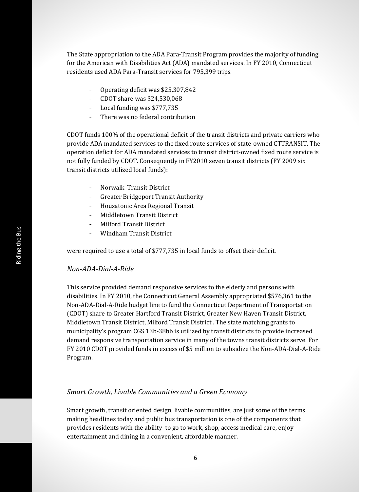The State appropriation to the ADA Para-Transit Program provides the majority of funding for the American with Disabilities Act (ADA) mandated services. In FY 2010, Connecticut residents used ADA Para-Transit services for 795,399 trips.

- Operating deficit was \$25,307,842
- CDOT share was \$24,530,068
- Local funding was \$777,735
- There was no federal contribution

CDOT funds 100% of the operational deficit of the transit districts and private carriers who provide ADA mandated services to the fixed route services of state-owned CTTRANSIT. The operation deficit for ADA mandated services to transit district-owned fixed route service is not fully funded by CDOT. Consequently in FY2010 seven transit districts (FY 2009 six transit districts utilized local funds):

- Norwalk Transit District
- Greater Bridgeport Transit Authority
- Housatonic Area Regional Transit
- Middletown Transit District
- Milford Transit District
- Windham Transit District

were required to use a total of \$777,735 in local funds to offset their deficit.

#### *Non-ADA-Dial-A-Ride*

This service provided demand responsive services to the elderly and persons with disabilities. In FY 2010, the Connecticut General Assembly appropriated \$576,361 to the Non-ADA-Dial-A-Ride budget line to fund the Connecticut Department of Transportation (CDOT) share to Greater Hartford Transit District, Greater New Haven Transit District, Middletown Transit District, Milford Transit District . The state matching grants to municipality's program CGS 13b-38bb is utilized by transit districts to provide increased demand responsive transportation service in many of the towns transit districts serve. For FY 2010 CDOT provided funds in excess of \$5 million to subsidize the Non-ADA-Dial-A-Ride Program.

#### *Smart Growth, Livable Communities and a Green Economy*

Smart growth, transit oriented design, livable communities, are just some of the terms making headlines today and public bus transportation is one of the components that provides residents with the ability to go to work, shop, access medical care, enjoy entertainment and dining in a convenient, affordable manner.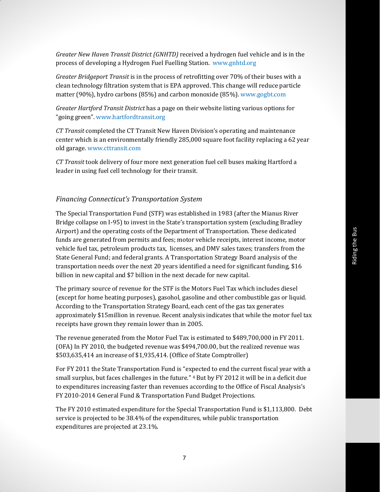*Greater New Haven Transit District (GNHTD)* received a hydrogen fuel vehicle and is in the process of developing a Hydrogen Fuel Fuelling Station. www.gnhtd.org

*Greater Bridgeport Transit* is in the process of retrofitting over 70% of their buses with a clean technology filtration system that is EPA approved. This change will reduce particle matter (90%), hydro carbons (85%) and carbon monoxide (85%). www.gogbt.com

*Greater Hartford Transit District* has a page on their website listing various options for "going green". [www.hartfordtransit.org](http://www.hartfordtransit.org/)

*CT Transit* completed the CT Transit New Haven Division's operating and maintenance center which is an environmentally friendly 285,000 square foot facility replacing a 62 year old garage. www.cttransit.com

*CT Transit* took delivery of four more next generation fuel cell buses making Hartford a leader in using fuel cell technology for their transit.

#### *Financing Connecticut's Transportation System*

The Special Transportation Fund (STF) was established in 1983 (after the Mianus River Bridge collapse on I-95) to invest in the State's transportation system (excluding Bradley Airport) and the operating costs of the Department of Transportation. These dedicated funds are generated from permits and fees; motor vehicle receipts, interest income, motor vehicle fuel tax, petroleum products tax, licenses, and DMV sales taxes; transfers from the State General Fund; and federal grants. A Transportation Strategy Board analysis of the transportation needs over the next 20 years identified a need for significant funding, \$16 billion in new capital and \$7 billion in the next decade for new capital.

The primary source of revenue for the STF is the Motors Fuel Tax which includes diesel (except for home heating purposes), gasohol, gasoline and other combustible gas or liquid. According to the Transportation Strategy Board, each cent of the gas tax generates approximately \$15million in revenue. Recent analysis indicates that while the motor fuel tax receipts have grown they remain lower than in 2005.

The revenue generated from the Motor Fuel Tax is estimated to \$489,700,000 in FY 2011. (OFA) In FY 2010, the budgeted revenue was \$494,700.00, but the realized revenue was \$503,635,414 an increase of \$1,935,414. (Office of State Comptroller)

For FY 2011 the State Transportation Fund is "expected to end the current fiscal year with a small surplus, but faces challenges in the future." <sup>4</sup> But by FY 2012 it will be in a deficit due to expenditures increasing faster than revenues according to the Office of Fiscal Analysis's FY 2010-2014 General Fund & Transportation Fund Budget Projections.

The FY 2010 estimated expenditure for the Special Transportation Fund is \$1,113,800. Debt service is projected to be 38.4% of the expenditures, while public transportation expenditures are projected at 23.1%.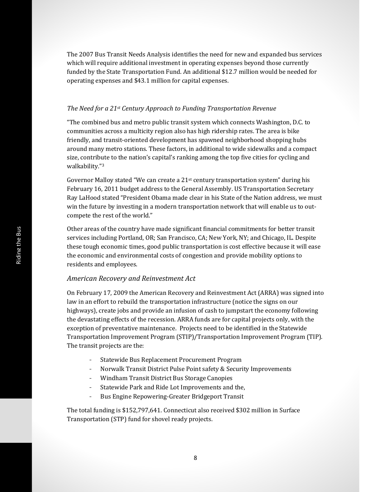The 2007 Bus Transit Needs Analysis identifies the need for new and expanded bus services which will require additional investment in operating expenses beyond those currently funded by the State Transportation Fund. An additional \$12.7 million would be needed for operating expenses and \$43.1 million for capital expenses.

#### *The Need for a 21st Century Approach to Funding Transportation Revenue*

"The combined bus and metro public transit system which connects Washington, D.C. to communities across a multicity region also has high ridership rates. The area is bike friendly, and transit-oriented development has spawned neighborhood shopping hubs around many metro stations. These factors, in additional to wide sidewalks and a compact size, contribute to the nation's capital's ranking among the top five cities for cycling and walkability."<sup>3</sup>

Governor Malloy stated "We can create a  $21<sup>st</sup>$  century transportation system" during his February 16, 2011 budget address to the General Assembly. US Transportation Secretary Ray LaHood stated "President Obama made clear in his State of the Nation address, we must win the future by investing in a modern transportation network that will enable us to outcompete the rest of the world."

Other areas of the country have made significant financial commitments for better transit services including Portland, OR; San Francisco, CA; New York, NY; and Chicago, IL. Despite these tough economic times, good public transportation is cost effective because it will ease the economic and environmental costs of congestion and provide mobility options to residents and employees.

#### *American Recovery and Reinvestment Act*

On February 17, 2009 the American Recovery and Reinvestment Act (ARRA) was signed into law in an effort to rebuild the transportation infrastructure (notice the signs on our highways), create jobs and provide an infusion of cash to jumpstart the economy following the devastating effects of the recession. ARRA funds are for capital projects only, with the exception of preventative maintenance. Projects need to be identified in the Statewide Transportation Improvement Program (STIP)/Transportation Improvement Program (TIP). The transit projects are the:

- Statewide Bus Replacement Procurement Program
- Norwalk Transit District Pulse Point safety & Security Improvements
- Windham Transit District Bus Storage Canopies
- Statewide Park and Ride Lot Improvements and the,
- Bus Engine Repowering-Greater Bridgeport Transit

The total funding is \$152,797,641. Connecticut also received \$302 million in Surface Transportation (STP) fund for shovel ready projects.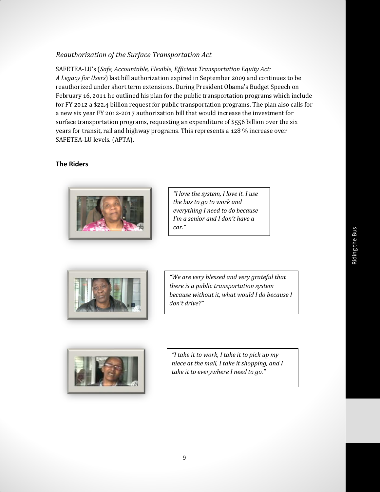## *Reauthorization of the Surface Transportation Act*

SAFETEA-LU's (*Safe, Accountable, Flexible, Efficient Transportation Equity Act: A Legacy for Users*) last bill authorization expired in September 2009 and continues to be reauthorized under short term extensions. During President Obama's Budget Speech on February 16, 2011 he outlined his plan for the public transportation programs which include for FY 2012 a \$22.4 billion request for public transportation programs. The plan also calls for a new six year FY 2012-2017 authorization bill that would increase the investment for surface transportation programs, requesting an expenditure of \$556 billion over the six years for transit, rail and highway programs. This represents a 128 % increase over SAFETEA-LU levels. (APTA).

### **The Riders**



*"I love the system, I love it. I use the bus to go to work and everything I need to do because I'm a senior and I don't have a car."*



*"We are very blessed and very grateful that there is a public transportation system because without it, what would I do because I don't drive?"*



*"I take it to work, I take it to pick up my niece at the mall, I take it shopping, and I take it to everywhere I need to go."*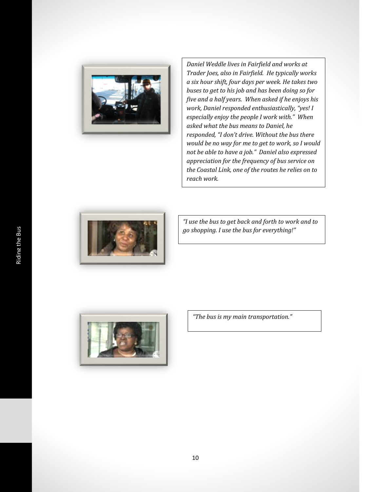

*Daniel Weddle lives in Fairfield and works at Trader Joes, also in Fairfield. He typically works a six hour shift, four days per week. He takes two buses to get to his job and has been doing so for five and a half years. When asked if he enjoys his work, Daniel responded enthusiastically, "yes! I especially enjoy the people I work with." When asked what the bus means to Daniel, he responded, "I don't drive. Without the bus there would be no way for me to get to work, so I would not be able to have a job." Daniel also expressed appreciation for the frequency of bus service on the Coastal Link, one of the routes he relies on to reach work.* 



*"I use the bus to get back and forth to work and to go shopping. I use the bus for everything!"*



*"The bus is my main transportation."*